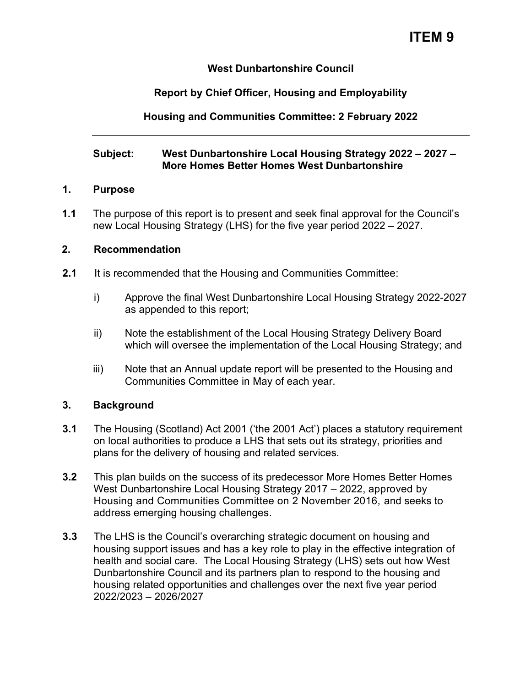# **ITEM 9**

## **West Dunbartonshire Council**

# **Report by Chief Officer, Housing and Employability**

# **Housing and Communities Committee: 2 February 2022**

## **Subject: West Dunbartonshire Local Housing Strategy 2022 – 2027 – More Homes Better Homes West Dunbartonshire**

#### **1. Purpose**

**1.1** The purpose of this report is to present and seek final approval for the Council's new Local Housing Strategy (LHS) for the five year period 2022 – 2027.

## **2. Recommendation**

- **2.1** It is recommended that the Housing and Communities Committee:
	- i) Approve the final West Dunbartonshire Local Housing Strategy 2022-2027 as appended to this report;
	- ii) Note the establishment of the Local Housing Strategy Delivery Board which will oversee the implementation of the Local Housing Strategy; and
	- iii) Note that an Annual update report will be presented to the Housing and Communities Committee in May of each year.

#### **3. Background**

- **3.1** The Housing (Scotland) Act 2001 ('the 2001 Act') places a statutory requirement on local authorities to produce a LHS that sets out its strategy, priorities and plans for the delivery of housing and related services.
- **3.2** This plan builds on the success of its predecessor More Homes Better Homes West Dunbartonshire Local Housing Strategy 2017 – 2022, approved by Housing and Communities Committee on 2 November 2016, and seeks to address emerging housing challenges.
- **3.3** The LHS is the Council's overarching strategic document on housing and housing support issues and has a key role to play in the effective integration of health and social care. The Local Housing Strategy (LHS) sets out how West Dunbartonshire Council and its partners plan to respond to the housing and housing related opportunities and challenges over the next five year period 2022/2023 – 2026/2027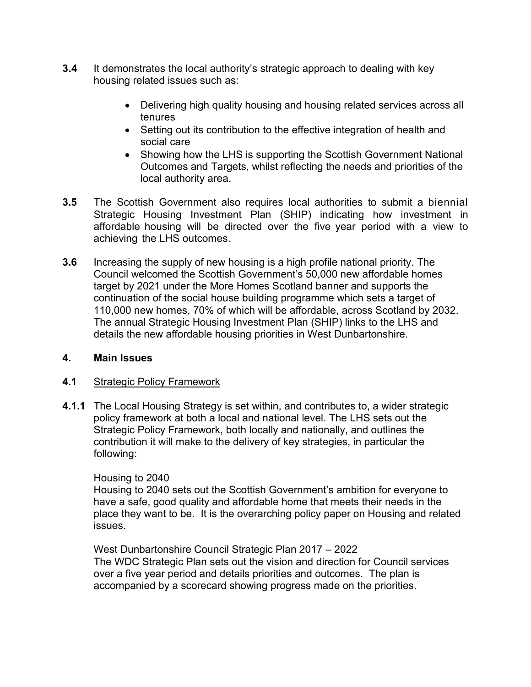- **3.4** It demonstrates the local authority's strategic approach to dealing with key housing related issues such as:
	- Delivering high quality housing and housing related services across all tenures
	- Setting out its contribution to the effective integration of health and social care
	- Showing how the LHS is supporting the Scottish Government National Outcomes and Targets, whilst reflecting the needs and priorities of the local authority area.
- **3.5** The Scottish Government also requires local authorities to submit a biennial Strategic Housing Investment Plan (SHIP) indicating how investment in affordable housing will be directed over the five year period with a view to achieving the LHS outcomes.
- **3.6** Increasing the supply of new housing is a high profile national priority. The Council welcomed the Scottish Government's 50,000 new affordable homes target by 2021 under the More Homes Scotland banner and supports the continuation of the social house building programme which sets a target of 110,000 new homes, 70% of which will be affordable, across Scotland by 2032. The annual Strategic Housing Investment Plan (SHIP) links to the LHS and details the new affordable housing priorities in West Dunbartonshire.

#### **4. Main Issues**

#### **4.1** Strategic Policy Framework

**4.1.1** The Local Housing Strategy is set within, and contributes to, a wider strategic policy framework at both a local and national level. The LHS sets out the Strategic Policy Framework, both locally and nationally, and outlines the contribution it will make to the delivery of key strategies, in particular the following:

#### Housing to 2040

Housing to 2040 sets out the Scottish Government's ambition for everyone to have a safe, good quality and affordable home that meets their needs in the place they want to be. It is the overarching policy paper on Housing and related issues.

West Dunbartonshire Council Strategic Plan 2017 – 2022 The WDC Strategic Plan sets out the vision and direction for Council services over a five year period and details priorities and outcomes. The plan is accompanied by a scorecard showing progress made on the priorities.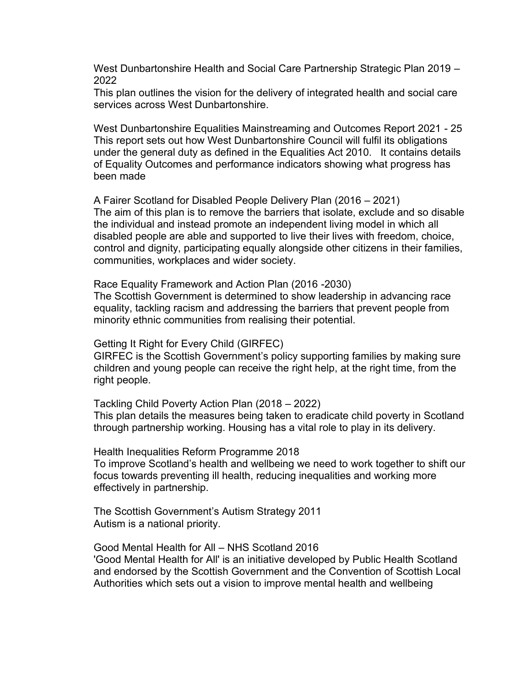West Dunbartonshire Health and Social Care Partnership Strategic Plan 2019 – 2022

This plan outlines the vision for the delivery of integrated health and social care services across West Dunbartonshire.

West Dunbartonshire Equalities Mainstreaming and Outcomes Report 2021 - 25 This report sets out how West Dunbartonshire Council will fulfil its obligations under the general duty as defined in the Equalities Act 2010. It contains details of Equality Outcomes and performance indicators showing what progress has been made

A Fairer Scotland for Disabled People Delivery Plan (2016 – 2021) The aim of this plan is to remove the barriers that isolate, exclude and so disable the individual and instead promote an independent living model in which all disabled people are able and supported to live their lives with freedom, choice, control and dignity, participating equally alongside other citizens in their families, communities, workplaces and wider society.

Race Equality Framework and Action Plan (2016 -2030) The Scottish Government is determined to show leadership in advancing race equality, tackling racism and addressing the barriers that prevent people from minority ethnic communities from realising their potential.

Getting It Right for Every Child (GIRFEC)

GIRFEC is the Scottish Government's policy supporting families by making sure children and young people can receive the right help, at the right time, from the right people.

Tackling Child Poverty Action Plan (2018 – 2022) This plan details the measures being taken to eradicate child poverty in Scotland through partnership working. Housing has a vital role to play in its delivery.

Health Inequalities Reform Programme 2018

To improve Scotland's health and wellbeing we need to work together to shift our focus towards preventing ill health, reducing inequalities and working more effectively in partnership.

The Scottish Government's Autism Strategy 2011 Autism is a national priority.

Good Mental Health for All – NHS Scotland 2016 'Good Mental Health for All' is an initiative developed by Public Health Scotland and endorsed by the Scottish Government and the Convention of Scottish Local Authorities which sets out a vision to improve mental health and wellbeing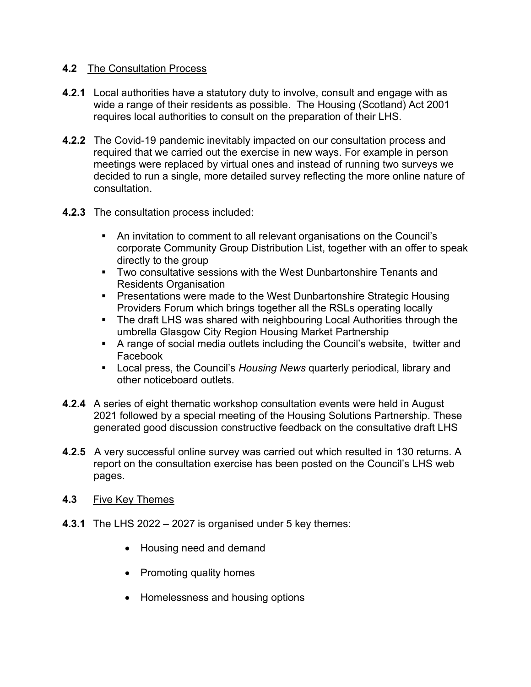## **4.2** The Consultation Process

- **4.2.1** Local authorities have a statutory duty to involve, consult and engage with as wide a range of their residents as possible. The Housing (Scotland) Act 2001 requires local authorities to consult on the preparation of their LHS.
- **4.2.2** The Covid-19 pandemic inevitably impacted on our consultation process and required that we carried out the exercise in new ways. For example in person meetings were replaced by virtual ones and instead of running two surveys we decided to run a single, more detailed survey reflecting the more online nature of consultation.
- **4.2.3** The consultation process included:
	- An invitation to comment to all relevant organisations on the Council's corporate Community Group Distribution List, together with an offer to speak directly to the group
	- Two consultative sessions with the West Dunbartonshire Tenants and Residents Organisation
	- Presentations were made to the West Dunbartonshire Strategic Housing Providers Forum which brings together all the RSLs operating locally
	- The draft LHS was shared with neighbouring Local Authorities through the umbrella Glasgow City Region Housing Market Partnership
	- A range of social media outlets including the Council's website, twitter and Facebook
	- Local press, the Council's *Housing News* quarterly periodical, library and other noticeboard outlets.
- **4.2.4** A series of eight thematic workshop consultation events were held in August 2021 followed by a special meeting of the Housing Solutions Partnership. These generated good discussion constructive feedback on the consultative draft LHS
- **4.2.5** A very successful online survey was carried out which resulted in 130 returns. A report on the consultation exercise has been posted on the Council's LHS web pages.
- **4.3** Five Key Themes
- **4.3.1** The LHS 2022 2027 is organised under 5 key themes:
	- Housing need and demand
	- Promoting quality homes
	- Homelessness and housing options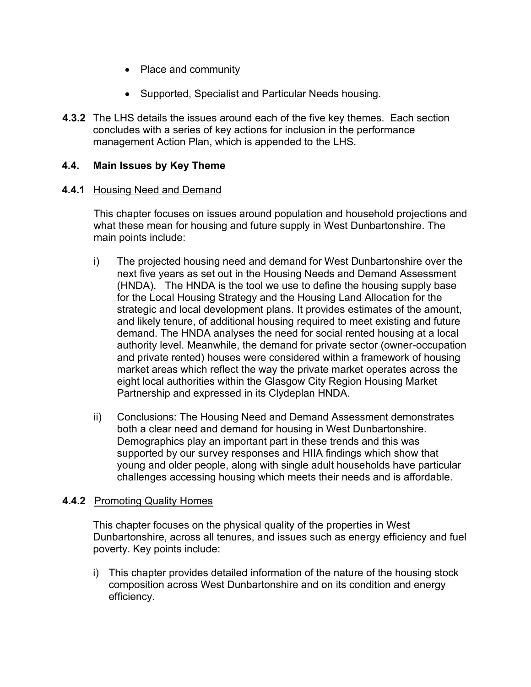- Place and community
- Supported, Specialist and Particular Needs housing.
- **4.3.2** The LHS details the issues around each of the five key themes. Each section concludes with a series of key actions for inclusion in the performance management Action Plan, which is appended to the LHS.

#### **4.4. Main Issues by Key Theme**

#### **4.4.1** Housing Need and Demand

This chapter focuses on issues around population and household projections and what these mean for housing and future supply in West Dunbartonshire. The main points include:

- i) The projected housing need and demand for West Dunbartonshire over the next five years as set out in the Housing Needs and Demand Assessment (HNDA). The HNDA is the tool we use to define the housing supply base for the Local Housing Strategy and the Housing Land Allocation for the strategic and local development plans. It provides estimates of the amount, and likely tenure, of additional housing required to meet existing and future demand. The HNDA analyses the need for social rented housing at a local authority level. Meanwhile, the demand for private sector (owner-occupation and private rented) houses were considered within a framework of housing market areas which reflect the way the private market operates across the eight local authorities within the Glasgow City Region Housing Market Partnership and expressed in its Clydeplan HNDA.
- ii) Conclusions: The Housing Need and Demand Assessment demonstrates both a clear need and demand for housing in West Dunbartonshire. Demographics play an important part in these trends and this was supported by our survey responses and HIIA findings which show that young and older people, along with single adult households have particular challenges accessing housing which meets their needs and is affordable.

#### **4.4.2** Promoting Quality Homes

This chapter focuses on the physical quality of the properties in West Dunbartonshire, across all tenures, and issues such as energy efficiency and fuel poverty. Key points include:

i) This chapter provides detailed information of the nature of the housing stock composition across West Dunbartonshire and on its condition and energy efficiency.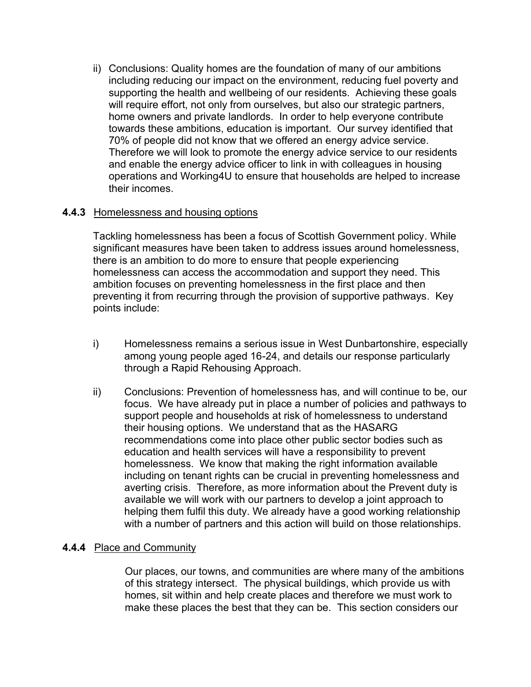ii) Conclusions: Quality homes are the foundation of many of our ambitions including reducing our impact on the environment, reducing fuel poverty and supporting the health and wellbeing of our residents. Achieving these goals will require effort, not only from ourselves, but also our strategic partners, home owners and private landlords. In order to help everyone contribute towards these ambitions, education is important. Our survey identified that 70% of people did not know that we offered an energy advice service. Therefore we will look to promote the energy advice service to our residents and enable the energy advice officer to link in with colleagues in housing operations and Working4U to ensure that households are helped to increase their incomes.

#### **4.4.3** Homelessness and housing options

Tackling homelessness has been a focus of Scottish Government policy. While significant measures have been taken to address issues around homelessness, there is an ambition to do more to ensure that people experiencing homelessness can access the accommodation and support they need. This ambition focuses on preventing homelessness in the first place and then preventing it from recurring through the provision of supportive pathways. Key points include:

- i) Homelessness remains a serious issue in West Dunbartonshire, especially among young people aged 16-24, and details our response particularly through a Rapid Rehousing Approach.
- ii) Conclusions: Prevention of homelessness has, and will continue to be, our focus. We have already put in place a number of policies and pathways to support people and households at risk of homelessness to understand their housing options. We understand that as the HASARG recommendations come into place other public sector bodies such as education and health services will have a responsibility to prevent homelessness. We know that making the right information available including on tenant rights can be crucial in preventing homelessness and averting crisis. Therefore, as more information about the Prevent duty is available we will work with our partners to develop a joint approach to helping them fulfil this duty. We already have a good working relationship with a number of partners and this action will build on those relationships.

# **4.4.4** Place and Community

Our places, our towns, and communities are where many of the ambitions of this strategy intersect. The physical buildings, which provide us with homes, sit within and help create places and therefore we must work to make these places the best that they can be. This section considers our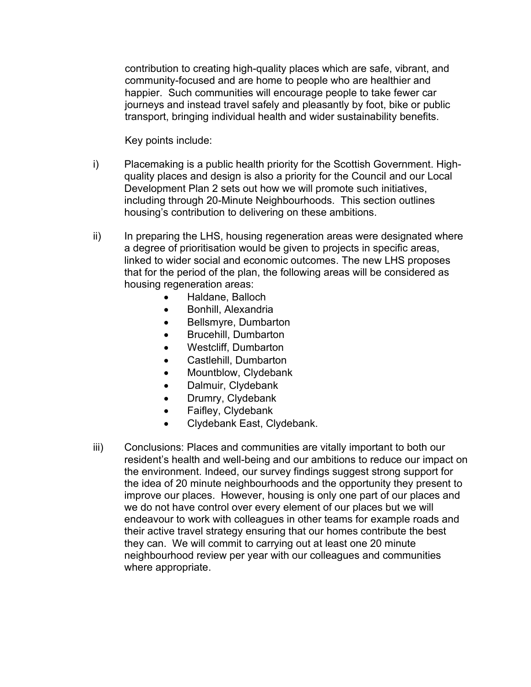contribution to creating high-quality places which are safe, vibrant, and community-focused and are home to people who are healthier and happier. Such communities will encourage people to take fewer car journeys and instead travel safely and pleasantly by foot, bike or public transport, bringing individual health and wider sustainability benefits.

Key points include:

- i) Placemaking is a public health priority for the Scottish Government. Highquality places and design is also a priority for the Council and our Local Development Plan 2 sets out how we will promote such initiatives, including through 20-Minute Neighbourhoods. This section outlines housing's contribution to delivering on these ambitions.
- ii) In preparing the LHS, housing regeneration areas were designated where a degree of prioritisation would be given to projects in specific areas, linked to wider social and economic outcomes. The new LHS proposes that for the period of the plan, the following areas will be considered as housing regeneration areas:
	- Haldane, Balloch
	- Bonhill, Alexandria
	- Bellsmyre, Dumbarton
	- Brucehill, Dumbarton
	- Westcliff, Dumbarton
	- Castlehill, Dumbarton
	- Mountblow, Clydebank
	- Dalmuir, Clydebank
	- Drumry, Clydebank
	- Faifley, Clydebank
	- Clydebank East, Clydebank.
- iii) Conclusions: Places and communities are vitally important to both our resident's health and well-being and our ambitions to reduce our impact on the environment. Indeed, our survey findings suggest strong support for the idea of 20 minute neighbourhoods and the opportunity they present to improve our places. However, housing is only one part of our places and we do not have control over every element of our places but we will endeavour to work with colleagues in other teams for example roads and their active travel strategy ensuring that our homes contribute the best they can. We will commit to carrying out at least one 20 minute neighbourhood review per year with our colleagues and communities where appropriate.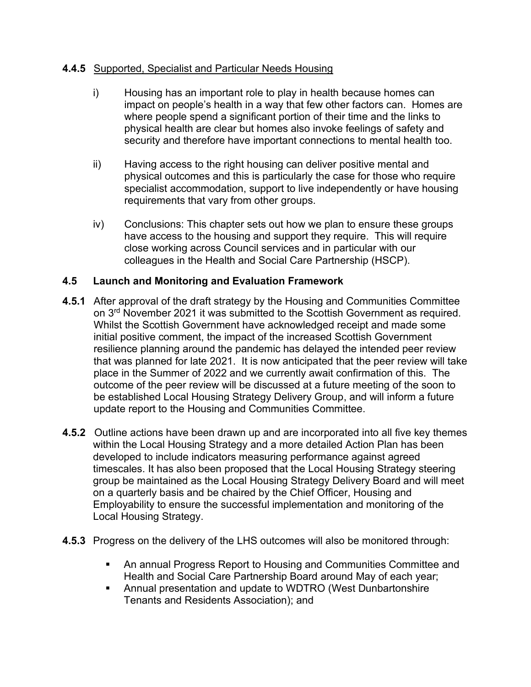## **4.4.5** Supported, Specialist and Particular Needs Housing

- i) Housing has an important role to play in health because homes can impact on people's health in a way that few other factors can. Homes are where people spend a significant portion of their time and the links to physical health are clear but homes also invoke feelings of safety and security and therefore have important connections to mental health too.
- ii) Having access to the right housing can deliver positive mental and physical outcomes and this is particularly the case for those who require specialist accommodation, support to live independently or have housing requirements that vary from other groups.
- iv) Conclusions: This chapter sets out how we plan to ensure these groups have access to the housing and support they require. This will require close working across Council services and in particular with our colleagues in the Health and Social Care Partnership (HSCP).

# **4.5 Launch and Monitoring and Evaluation Framework**

- **4.5.1** After approval of the draft strategy by the Housing and Communities Committee on  $3<sup>rd</sup>$  November 2021 it was submitted to the Scottish Government as required. Whilst the Scottish Government have acknowledged receipt and made some initial positive comment, the impact of the increased Scottish Government resilience planning around the pandemic has delayed the intended peer review that was planned for late 2021. It is now anticipated that the peer review will take place in the Summer of 2022 and we currently await confirmation of this. The outcome of the peer review will be discussed at a future meeting of the soon to be established Local Housing Strategy Delivery Group, and will inform a future update report to the Housing and Communities Committee.
- **4.5.2** Outline actions have been drawn up and are incorporated into all five key themes within the Local Housing Strategy and a more detailed Action Plan has been developed to include indicators measuring performance against agreed timescales. It has also been proposed that the Local Housing Strategy steering group be maintained as the Local Housing Strategy Delivery Board and will meet on a quarterly basis and be chaired by the Chief Officer, Housing and Employability to ensure the successful implementation and monitoring of the Local Housing Strategy.
- **4.5.3** Progress on the delivery of the LHS outcomes will also be monitored through:
	- An annual Progress Report to Housing and Communities Committee and Health and Social Care Partnership Board around May of each year;
	- Annual presentation and update to WDTRO (West Dunbartonshire Tenants and Residents Association); and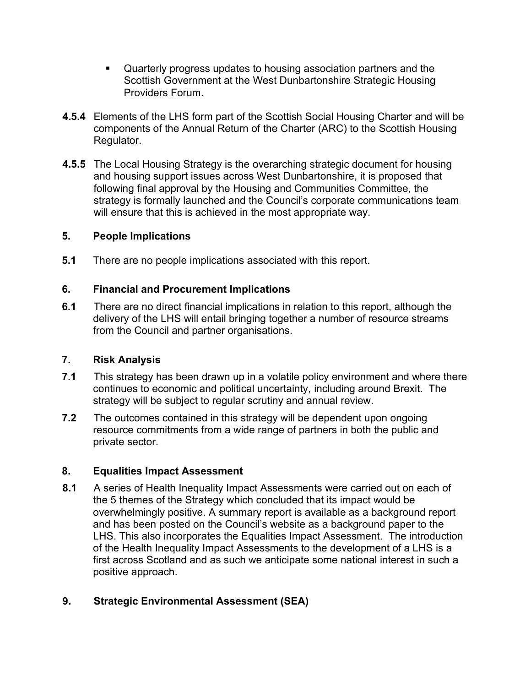- Quarterly progress updates to housing association partners and the Scottish Government at the West Dunbartonshire Strategic Housing Providers Forum.
- **4.5.4** Elements of the LHS form part of the Scottish Social Housing Charter and will be components of the Annual Return of the Charter (ARC) to the Scottish Housing Regulator.
- **4.5.5** The Local Housing Strategy is the overarching strategic document for housing and housing support issues across West Dunbartonshire, it is proposed that following final approval by the Housing and Communities Committee, the strategy is formally launched and the Council's corporate communications team will ensure that this is achieved in the most appropriate way.

## **5. People Implications**

**5.1** There are no people implications associated with this report.

## **6. Financial and Procurement Implications**

**6.1** There are no direct financial implications in relation to this report, although the delivery of the LHS will entail bringing together a number of resource streams from the Council and partner organisations.

#### **7. Risk Analysis**

- **7.1** This strategy has been drawn up in a volatile policy environment and where there continues to economic and political uncertainty, including around Brexit. The strategy will be subject to regular scrutiny and annual review.
- **7.2** The outcomes contained in this strategy will be dependent upon ongoing resource commitments from a wide range of partners in both the public and private sector.

# **8. Equalities Impact Assessment**

**8.1** A series of Health Inequality Impact Assessments were carried out on each of the 5 themes of the Strategy which concluded that its impact would be overwhelmingly positive. A summary report is available as a background report and has been posted on the Council's website as a background paper to the LHS. This also incorporates the Equalities Impact Assessment. The introduction of the Health Inequality Impact Assessments to the development of a LHS is a first across Scotland and as such we anticipate some national interest in such a positive approach.

# **9. Strategic Environmental Assessment (SEA)**